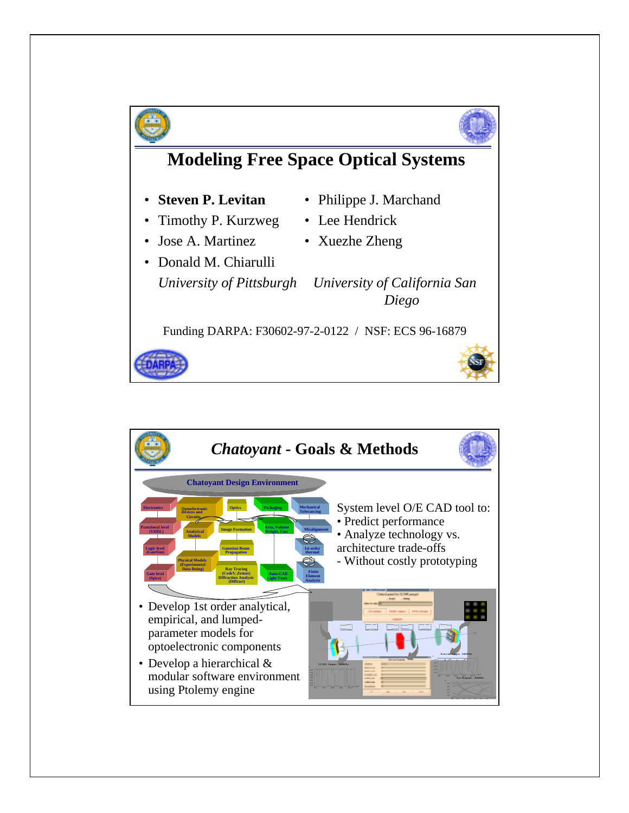

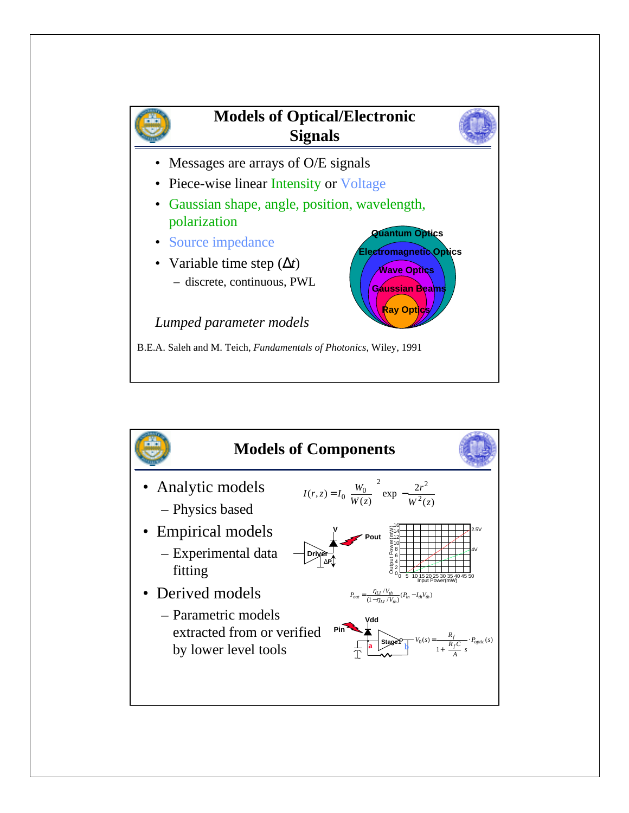

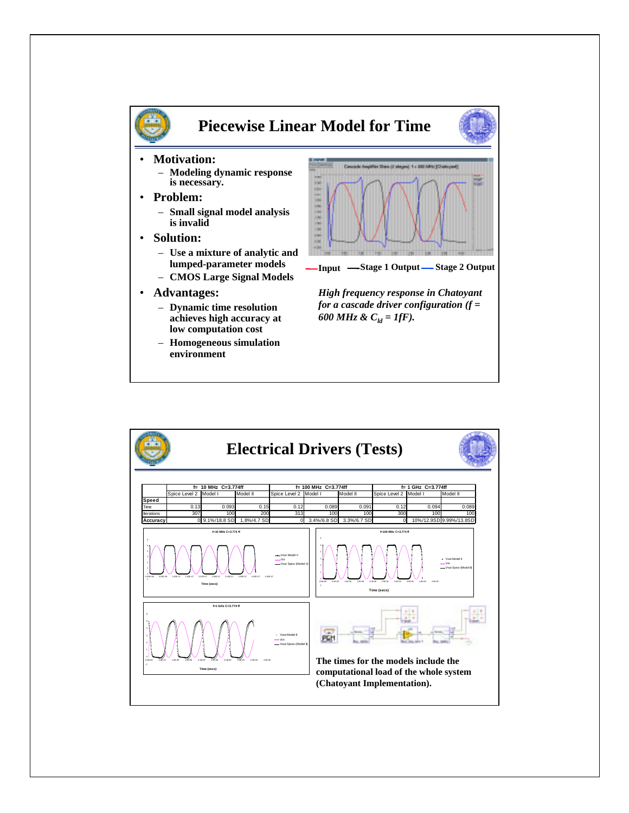

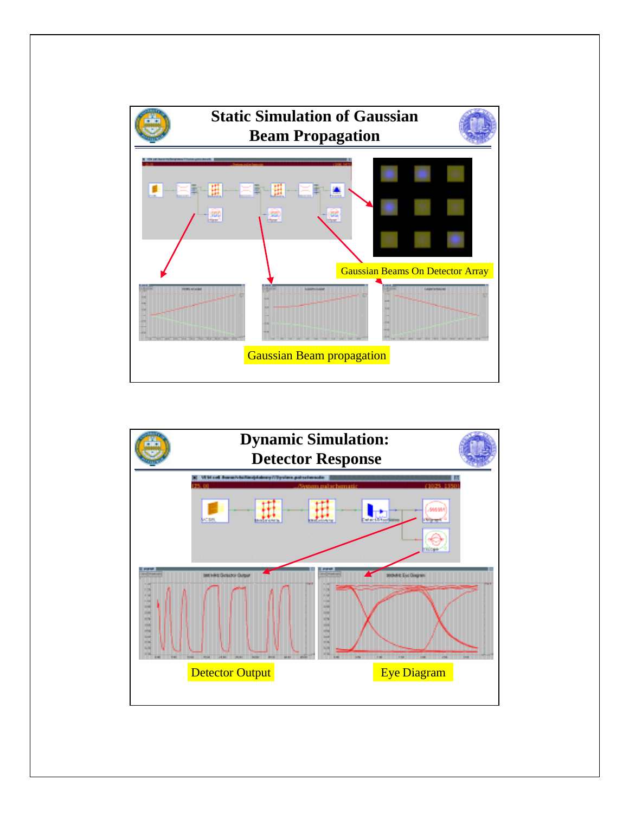

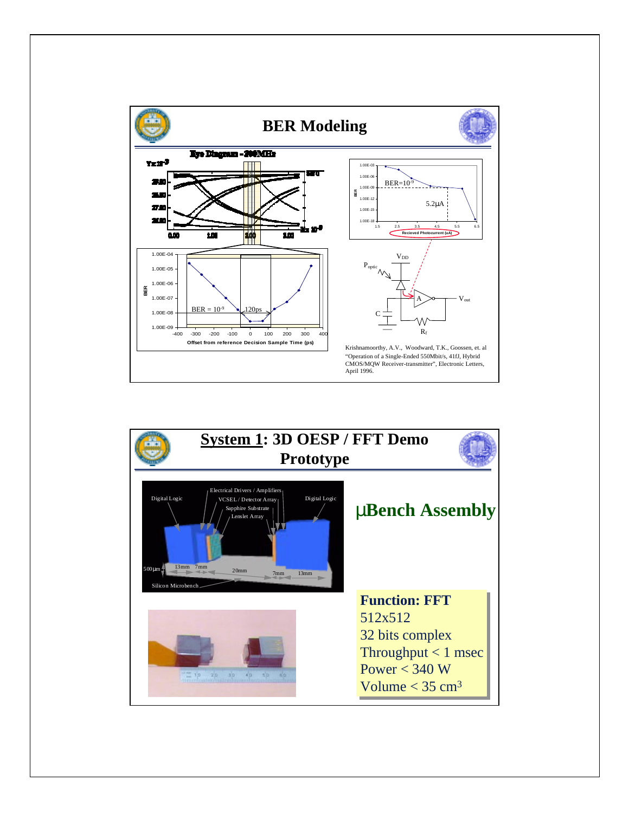

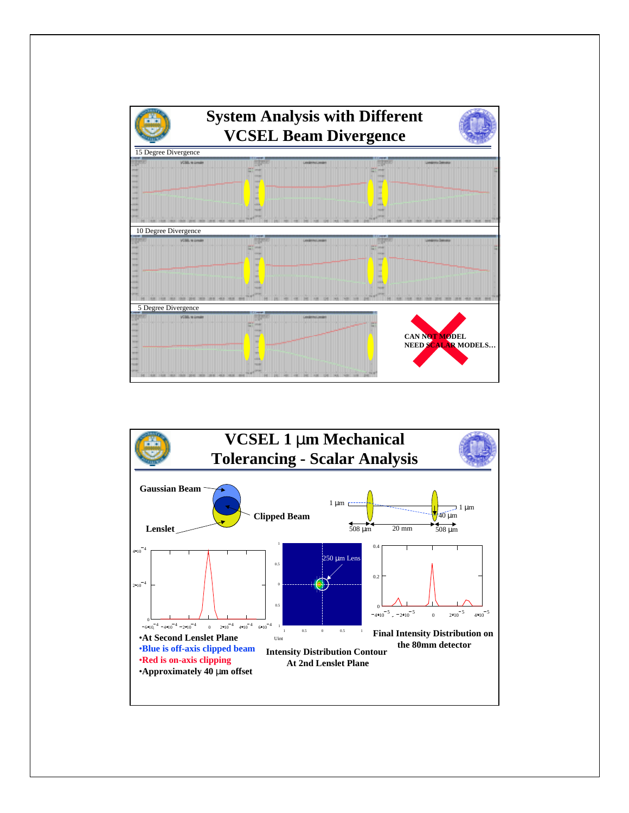

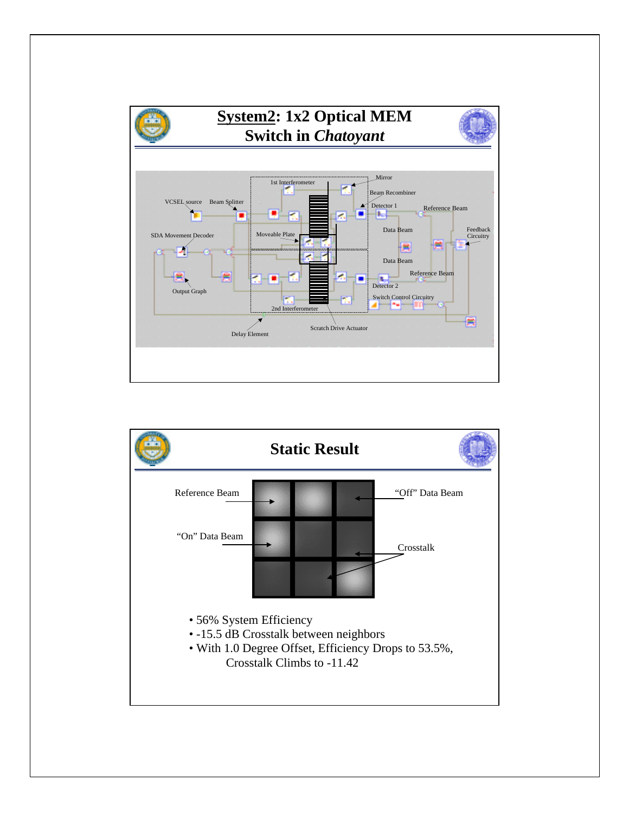

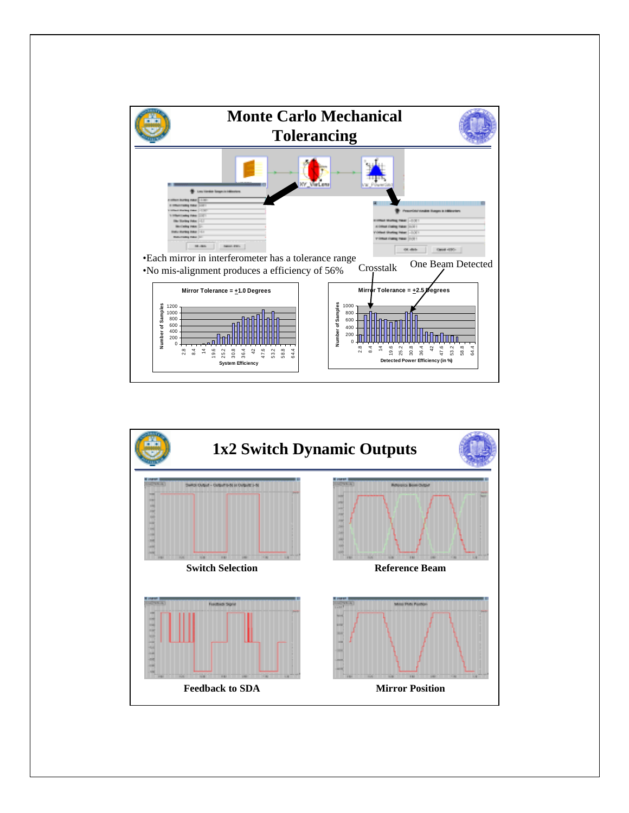